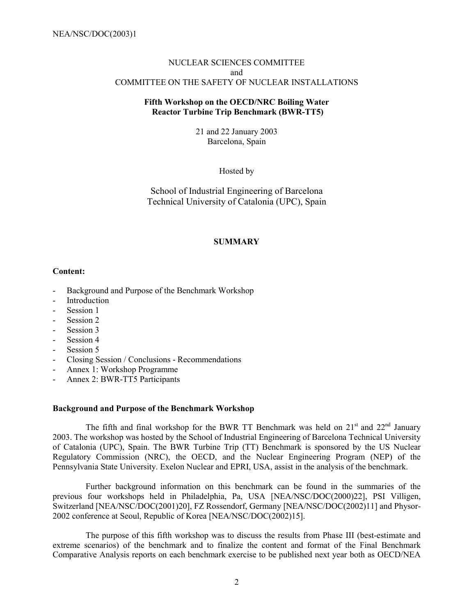### NUCLEAR SCIENCES COMMITTEE and COMMITTEE ON THE SAFETY OF NUCLEAR INSTALLATIONS

## **Fifth Workshop on the OECD/NRC Boiling Water Reactor Turbine Trip Benchmark (BWR-TT5)**

21 and 22 January 2003 Barcelona, Spain

Hosted by

School of Industrial Engineering of Barcelona Technical University of Catalonia (UPC), Spain

## **SUMMARY**

### **Content:**

- Background and Purpose of the Benchmark Workshop
- Introduction
- Session 1
- Session 2
- Session 3
- Session 4
- Session 5
- Closing Session / Conclusions Recommendations
- Annex 1: Workshop Programme
- Annex 2: BWR-TT5 Participants

### **Background and Purpose of the Benchmark Workshop**

The fifth and final workshop for the BWR TT Benchmark was held on  $21<sup>st</sup>$  and  $22<sup>nd</sup>$  January 2003. The workshop was hosted by the School of Industrial Engineering of Barcelona Technical University of Catalonia (UPC), Spain. The BWR Turbine Trip (TT) Benchmark is sponsored by the US Nuclear Regulatory Commission (NRC), the OECD, and the Nuclear Engineering Program (NEP) of the Pennsylvania State University. Exelon Nuclear and EPRI, USA, assist in the analysis of the benchmark.

Further background information on this benchmark can be found in the summaries of the previous four workshops held in Philadelphia, Pa, USA [NEA/NSC/DOC(2000)22], PSI Villigen, Switzerland [NEA/NSC/DOC(2001)20], FZ Rossendorf, Germany [NEA/NSC/DOC(2002)11] and Physor-2002 conference at Seoul, Republic of Korea [NEA/NSC/DOC(2002)15].

The purpose of this fifth workshop was to discuss the results from Phase III (best-estimate and extreme scenarios) of the benchmark and to finalize the content and format of the Final Benchmark Comparative Analysis reports on each benchmark exercise to be published next year both as OECD/NEA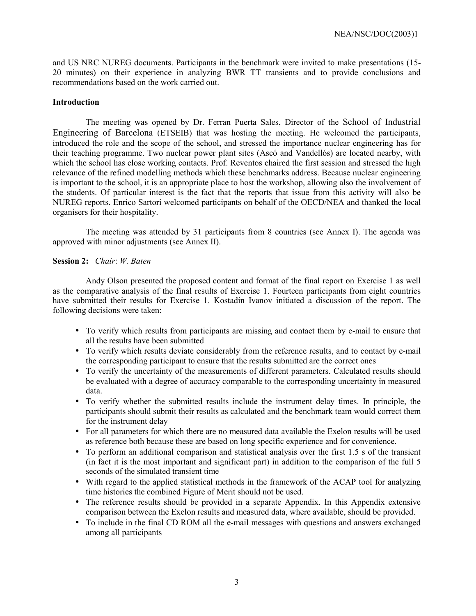and US NRC NUREG documents. Participants in the benchmark were invited to make presentations (15- 20 minutes) on their experience in analyzing BWR TT transients and to provide conclusions and recommendations based on the work carried out.

### **Introduction**

The meeting was opened by Dr. Ferran Puerta Sales, Director of the School of Industrial Engineering of Barcelona (ETSEIB) that was hosting the meeting. He welcomed the participants, introduced the role and the scope of the school, and stressed the importance nuclear engineering has for their teaching programme. Two nuclear power plant sites (Ascó and Vandellós) are located nearby, with which the school has close working contacts. Prof. Reventos chaired the first session and stressed the high relevance of the refined modelling methods which these benchmarks address. Because nuclear engineering is important to the school, it is an appropriate place to host the workshop, allowing also the involvement of the students. Of particular interest is the fact that the reports that issue from this activity will also be NUREG reports. Enrico Sartori welcomed participants on behalf of the OECD/NEA and thanked the local organisers for their hospitality.

The meeting was attended by 31 participants from 8 countries (see Annex I). The agenda was approved with minor adjustments (see Annex II).

### **Session 2:** *Chair*: *W. Baten*

Andy Olson presented the proposed content and format of the final report on Exercise 1 as well as the comparative analysis of the final results of Exercise 1. Fourteen participants from eight countries have submitted their results for Exercise 1. Kostadin Ivanov initiated a discussion of the report. The following decisions were taken:

- To verify which results from participants are missing and contact them by e-mail to ensure that all the results have been submitted
- To verify which results deviate considerably from the reference results, and to contact by e-mail the corresponding participant to ensure that the results submitted are the correct ones
- To verify the uncertainty of the measurements of different parameters. Calculated results should be evaluated with a degree of accuracy comparable to the corresponding uncertainty in measured data.
- To verify whether the submitted results include the instrument delay times. In principle, the participants should submit their results as calculated and the benchmark team would correct them for the instrument delay
- For all parameters for which there are no measured data available the Exelon results will be used as reference both because these are based on long specific experience and for convenience.
- To perform an additional comparison and statistical analysis over the first 1.5 s of the transient (in fact it is the most important and significant part) in addition to the comparison of the full 5 seconds of the simulated transient time
- With regard to the applied statistical methods in the framework of the ACAP tool for analyzing time histories the combined Figure of Merit should not be used.
- The reference results should be provided in a separate Appendix. In this Appendix extensive comparison between the Exelon results and measured data, where available, should be provided.
- To include in the final CD ROM all the e-mail messages with questions and answers exchanged among all participants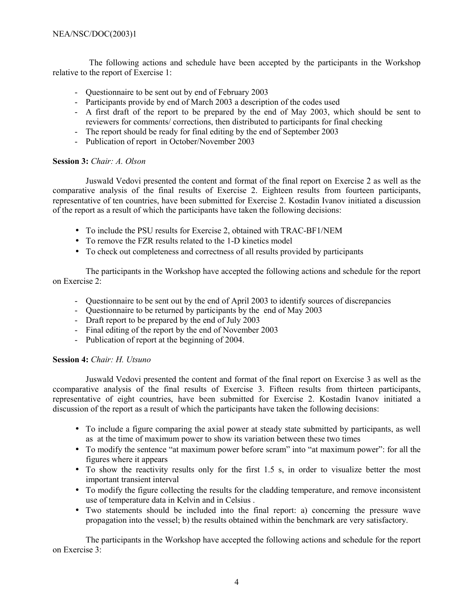The following actions and schedule have been accepted by the participants in the Workshop relative to the report of Exercise 1:

- Questionnaire to be sent out by end of February 2003
- Participants provide by end of March 2003 a description of the codes used
- A first draft of the report to be prepared by the end of May 2003, which should be sent to reviewers for comments/ corrections, then distributed to participants for final checking
- The report should be ready for final editing by the end of September 2003
- Publication of report in October/November 2003

## **Session 3:** *Chair: A. Olson*

Juswald Vedovi presented the content and format of the final report on Exercise 2 as well as the comparative analysis of the final results of Exercise 2. Eighteen results from fourteen participants, representative of ten countries, have been submitted for Exercise 2. Kostadin Ivanov initiated a discussion of the report as a result of which the participants have taken the following decisions:

- To include the PSU results for Exercise 2, obtained with TRAC-BF1/NEM
- To remove the FZR results related to the 1-D kinetics model
- To check out completeness and correctness of all results provided by participants

The participants in the Workshop have accepted the following actions and schedule for the report on Exercise 2:

- Questionnaire to be sent out by the end of April 2003 to identify sources of discrepancies
- Questionnaire to be returned by participants by the end of May 2003
- Draft report to be prepared by the end of July 2003
- Final editing of the report by the end of November 2003
- Publication of report at the beginning of 2004.

## **Session 4:** *Chair: H. Utsuno*

Juswald Vedovi presented the content and format of the final report on Exercise 3 as well as the ccomparative analysis of the final results of Exercise 3. Fifteen results from thirteen participants, representative of eight countries, have been submitted for Exercise 2. Kostadin Ivanov initiated a discussion of the report as a result of which the participants have taken the following decisions:

- To include a figure comparing the axial power at steady state submitted by participants, as well as at the time of maximum power to show its variation between these two times
- To modify the sentence "at maximum power before scram" into "at maximum power": for all the figures where it appears
- To show the reactivity results only for the first 1.5 s, in order to visualize better the most important transient interval
- To modify the figure collecting the results for the cladding temperature, and remove inconsistent use of temperature data in Kelvin and in Celsius .
- Two statements should be included into the final report: a) concerning the pressure wave propagation into the vessel; b) the results obtained within the benchmark are very satisfactory.

The participants in the Workshop have accepted the following actions and schedule for the report on Exercise 3: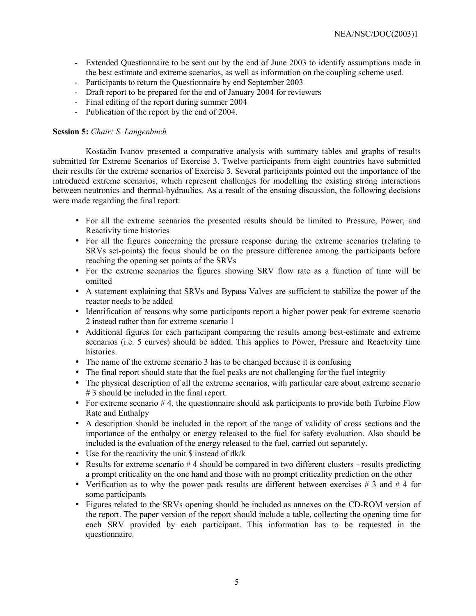- Extended Questionnaire to be sent out by the end of June 2003 to identify assumptions made in the best estimate and extreme scenarios, as well as information on the coupling scheme used.
- Participants to return the Questionnaire by end September 2003
- Draft report to be prepared for the end of January 2004 for reviewers
- Final editing of the report during summer 2004
- Publication of the report by the end of 2004.

#### **Session 5:** *Chair: S. Langenbuch*

Kostadin Ivanov presented a comparative analysis with summary tables and graphs of results submitted for Extreme Scenarios of Exercise 3. Twelve participants from eight countries have submitted their results for the extreme scenarios of Exercise 3. Several participants pointed out the importance of the introduced extreme scenarios, which represent challenges for modelling the existing strong interactions between neutronics and thermal-hydraulics. As a result of the ensuing discussion, the following decisions were made regarding the final report:

- For all the extreme scenarios the presented results should be limited to Pressure, Power, and Reactivity time histories
- For all the figures concerning the pressure response during the extreme scenarios (relating to SRVs set-points) the focus should be on the pressure difference among the participants before reaching the opening set points of the SRVs
- For the extreme scenarios the figures showing SRV flow rate as a function of time will be omitted
- A statement explaining that SRVs and Bypass Valves are sufficient to stabilize the power of the reactor needs to be added
- Identification of reasons why some participants report a higher power peak for extreme scenario 2 instead rather than for extreme scenario 1
- Additional figures for each participant comparing the results among best-estimate and extreme scenarios (i.e. 5 curves) should be added. This applies to Power, Pressure and Reactivity time histories.
- The name of the extreme scenario 3 has to be changed because it is confusing
- The final report should state that the fuel peaks are not challenging for the fuel integrity
- The physical description of all the extreme scenarios, with particular care about extreme scenario # 3 should be included in the final report.
- For extreme scenario  $#4$ , the questionnaire should ask participants to provide both Turbine Flow Rate and Enthalpy
- A description should be included in the report of the range of validity of cross sections and the importance of the enthalpy or energy released to the fuel for safety evaluation. Also should be included is the evaluation of the energy released to the fuel, carried out separately.
- Use for the reactivity the unit \$ instead of dk/k
- Results for extreme scenario  $#4$  should be compared in two different clusters results predicting a prompt criticality on the one hand and those with no prompt criticality prediction on the other
- Verification as to why the power peak results are different between exercises  $\#$  3 and  $\#$  4 for some participants
- Figures related to the SRVs opening should be included as annexes on the CD-ROM version of the report. The paper version of the report should include a table, collecting the opening time for each SRV provided by each participant. This information has to be requested in the questionnaire.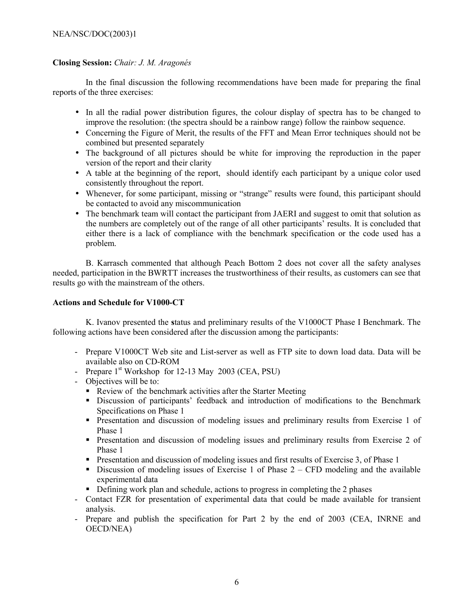# NEA/NSC/DOC(2003)1

## **Closing Session:** *Chair: J. M. AragonÈs*

In the final discussion the following recommendations have been made for preparing the final reports of the three exercises:

- In all the radial power distribution figures, the colour display of spectra has to be changed to improve the resolution: (the spectra should be a rainbow range) follow the rainbow sequence.
- Concerning the Figure of Merit, the results of the FFT and Mean Error techniques should not be combined but presented separately
- The background of all pictures should be white for improving the reproduction in the paper version of the report and their clarity
- A table at the beginning of the report, should identify each participant by a unique color used consistently throughout the report.
- Whenever, for some participant, missing or "strange" results were found, this participant should be contacted to avoid any miscommunication
- The benchmark team will contact the participant from JAERI and suggest to omit that solution as the numbers are completely out of the range of all other participants' results. It is concluded that either there is a lack of compliance with the benchmark specification or the code used has a problem.

B. Karrasch commented that although Peach Bottom 2 does not cover all the safety analyses needed, participation in the BWRTT increases the trustworthiness of their results, as customers can see that results go with the mainstream of the others.

### **Actions and Schedule for V1000-CT**

K. Ivanov presented the **s**tatus and preliminary results of the V1000CT Phase I Benchmark. The following actions have been considered after the discussion among the participants:

- Prepare V1000CT Web site and List-server as well as FTP site to down load data. Data will be available also on CD-ROM
- Prepare  $1<sup>st</sup>$  Workshop for 12-13 May 2003 (CEA, PSU)
- Objectives will be to:
	- Review of the benchmark activities after the Starter Meeting
	- Discussion of participants' feedback and introduction of modifications to the Benchmark Specifications on Phase 1
	- Presentation and discussion of modeling issues and preliminary results from Exercise 1 of Phase 1
	- **Presentation and discussion of modeling issues and preliminary results from Exercise 2 of** Phase 1
	- **Presentation and discussion of modeling issues and first results of Exercise 3, of Phase 1**
	- Discussion of modeling issues of Exercise 1 of Phase  $2 CFD$  modeling and the available experimental data
	- Defining work plan and schedule, actions to progress in completing the 2 phases
- Contact FZR for presentation of experimental data that could be made available for transient analysis.
- Prepare and publish the specification for Part 2 by the end of 2003 (CEA, INRNE and OECD/NEA)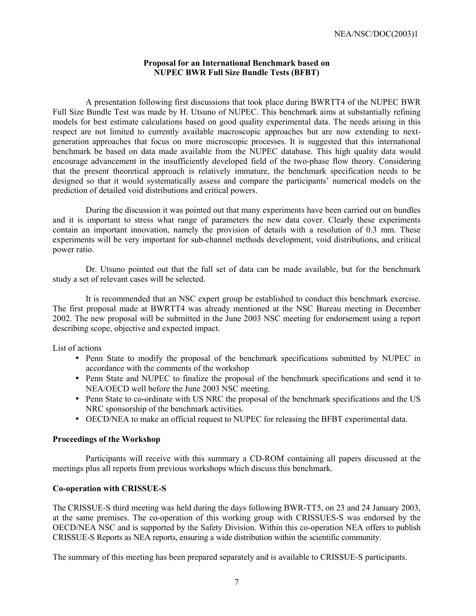### **Proposal for an International Benchmark based on NUPEC BWR Full Size Bundle Tests (BFBT)**

A presentation following first discussions that took place during BWRTT4 of the NUPEC BWR Full Size Bundle Test was made by H. Utsuno of NUPEC. This benchmark aims at substantially refining models for best estimate calculations based on good quality experimental data. The needs arising in this respect are not limited to currently available macroscopic approaches but are now extending to nextgeneration approaches that focus on more microscopic processes. It is suggested that this international benchmark be based on data made available from the NUPEC database. This high quality data would encourage advancement in the insufficiently developed field of the two-phase flow theory. Considering that the present theoretical approach is relatively immature, the benchmark specification needs to be designed so that it would systematically assess and compare the participants' numerical models on the prediction of detailed void distributions and critical powers.

During the discussion it was pointed out that many experiments have been carried out on bundles and it is important to stress what range of parameters the new data cover. Clearly these experiments contain an important innovation, namely the provision of details with a resolution of 0.3 mm. These experiments will be very important for sub-channel methods development, void distributions, and critical power ratio.

Dr. Utsuno pointed out that the full set of data can be made available, but for the benchmark study a set of relevant cases will be selected.

It is recommended that an NSC expert group be established to conduct this benchmark exercise. The first proposal made at BWRTT4 was already mentioned at the NSC Bureau meeting in December 2002. The new proposal will be submitted in the June 2003 NSC meeting for endorsement using a report describing scope, objective and expected impact.

List of actions

- Penn State to modify the proposal of the benchmark specifications submitted by NUPEC in accordance with the comments of the workshop
- Penn State and NUPEC to finalize the proposal of the benchmark specifications and send it to NEA/OECD well before the June 2003 NSC meeting.
- Penn State to co-ordinate with US NRC the proposal of the benchmark specifications and the US NRC sponsorship of the benchmark activities.
- OECD/NEA to make an official request to NUPEC for releasing the BFBT experimental data.

### **Proceedings of the Workshop**

Participants will receive with this summary a CD-ROM containing all papers discussed at the meetings plus all reports from previous workshops which discuss this benchmark.

### **Co-operation with CRISSUE-S**

The CRISSUE-S third meeting was held during the days following BWR-TT5, on 23 and 24 January 2003, at the same premises. The co-operation of this working group with CRISSUES-S was endorsed by the OECD/NEA NSC and is supported by the Safety Division. Within this co-operation NEA offers to publish CRISSUE-S Reports as NEA reports, ensuring a wide distribution within the scientific community.

The summary of this meeting has been prepared separately and is available to CRISSUE-S participants.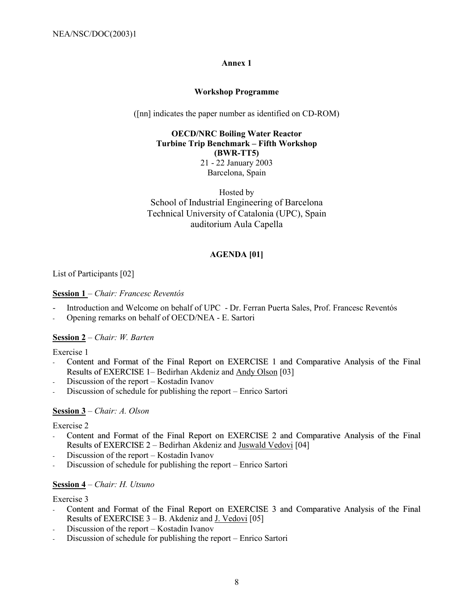### **Annex 1**

### **Workshop Programme**

([nn] indicates the paper number as identified on CD-ROM)

## **OECD/NRC Boiling Water Reactor Turbine Trip Benchmark - Fifth Workshop (BWR-TT5)** 21 - 22 January 2003 Barcelona, Spain

Hosted by School of Industrial Engineering of Barcelona Technical University of Catalonia (UPC), Spain auditorium Aula Capella

## **AGENDA [01]**

# List of Participants [02]

### **Session 1** – *Chair: Francesc Reventós*

- Introduction and Welcome on behalf of UPC Dr. Ferran Puerta Sales, Prof. Francesc Reventós
- Opening remarks on behalf of OECD/NEA E. Sartori

### **Session 2** – Chair: W. Barten

Exercise 1

- Content and Format of the Final Report on EXERCISE 1 and Comparative Analysis of the Final Results of EXERCISE 1– Bedirhan Akdeniz and Andy Olson [03]
- Discussion of the report Kostadin Ivanov
- Discussion of schedule for publishing the report Enrico Sartori

### **Session 3** – *Chair: A. Olson*

### Exercise 2

- Content and Format of the Final Report on EXERCISE 2 and Comparative Analysis of the Final Results of EXERCISE 2 – Bedirhan Akdeniz and Juswald Vedovi [04]
- Discussion of the report Kostadin Ivanov
- Discussion of schedule for publishing the report Enrico Sartori

### **Session 4** – *Chair: H. Utsuno*

### Exercise 3

- Content and Format of the Final Report on EXERCISE 3 and Comparative Analysis of the Final Results of EXERCISE  $3 - B$ . Akdeniz and J. Vedovi [05]
- Discussion of the report Kostadin Ivanov
- Discussion of schedule for publishing the report Enrico Sartori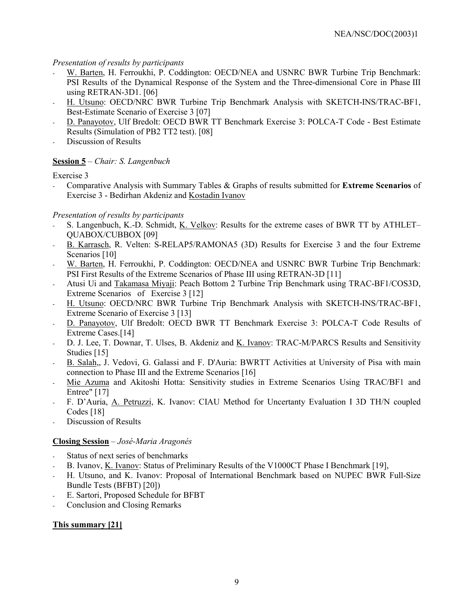# *Presentation of results by participants*

- W. Barten, H. Ferroukhi, P. Coddington: OECD/NEA and USNRC BWR Turbine Trip Benchmark: PSI Results of the Dynamical Response of the System and the Three-dimensional Core in Phase III using RETRAN-3D1. [06]
- H. Utsuno: OECD/NRC BWR Turbine Trip Benchmark Analysis with SKETCH-INS/TRAC-BF1, Best-Estimate Scenario of Exercise 3 [07]
- D. Panayotov, Ulf Bredolt: OECD BWR TT Benchmark Exercise 3: POLCA-T Code Best Estimate Results (Simulation of PB2 TT2 test). [08]
- Discussion of Results

# **<u>Session 5</u>** – *Chair: S. Langenbuch*

Exercise 3

- Comparative Analysis with Summary Tables & Graphs of results submitted for **Extreme Scenarios** of Exercise 3 - Bedirhan Akdeniz and Kostadin Ivanov

# *Presentation of results by participants*

- S. Langenbuch, K.-D. Schmidt, K. Velkov: Results for the extreme cases of BWR TT by ATHLET– QUABOX/CUBBOX [09]
- B. Karrasch, R. Velten: S-RELAP5/RAMONA5 (3D) Results for Exercise 3 and the four Extreme Scenarios [10]
- W. Barten, H. Ferroukhi, P. Coddington: OECD/NEA and USNRC BWR Turbine Trip Benchmark: PSI First Results of the Extreme Scenarios of Phase III using RETRAN-3D [11]
- Atusi Ui and Takamasa Miyaji: Peach Bottom 2 Turbine Trip Benchmark using TRAC-BF1/COS3D. Extreme Scenarios of Exercise 3 [12]
- H. Utsuno: OECD/NRC BWR Turbine Trip Benchmark Analysis with SKETCH-INS/TRAC-BF1, Extreme Scenario of Exercise 3 [13]
- D. Panayotov, Ulf Bredolt: OECD BWR TT Benchmark Exercise 3: POLCA-T Code Results of Extreme Cases.<sup>[14]</sup>
- D. J. Lee, T. Downar, T. Ulses, B. Akdeniz and K. Ivanov: TRAC-M/PARCS Results and Sensitivity Studies [15]
- B. Salah,, J. Vedovi, G. Galassi and F. D'Auria: BWRTT Activities at University of Pisa with main connection to Phase III and the Extreme Scenarios [16]
- Mie Azuma and Akitoshi Hotta: Sensitivity studies in Extreme Scenarios Using TRAC/BF1 and Entree" [17]
- F. D'Auria, A. Petruzzi, K. Ivanov: CIAU Method for Uncertanty Evaluation I 3D TH/N coupled Codes [18]
- Discussion of Results

# **Closing Session** ñ *JosÈ-Maria AragonÈs*

- Status of next series of benchmarks
- B. Ivanov, K. Ivanov: Status of Preliminary Results of the V1000CT Phase I Benchmark [19],
- H. Utsuno, and K. Ivanov: Proposal of International Benchmark based on NUPEC BWR Full-Size Bundle Tests (BFBT) [20])
- E. Sartori, Proposed Schedule for BFBT
- Conclusion and Closing Remarks

# **This summary [21]**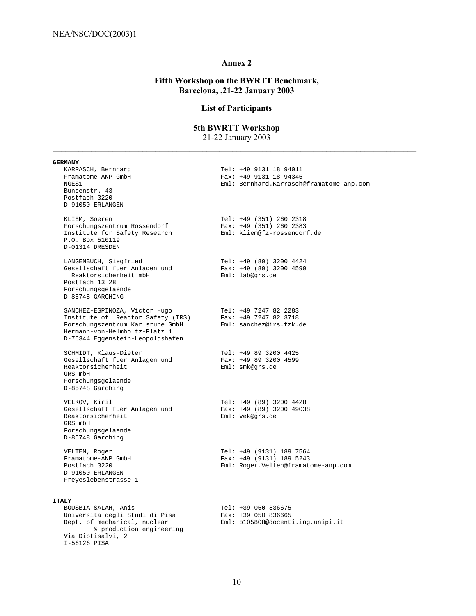# **Annex 2**

# **Fifth Workshop on the BWRTT Benchmark, Barcelona, ,21-22 January 2003**

# **List of Participants**

### **5th BWRTT Workshop**

21-22 January 2003

| <b>GERMANY</b>                                                                                                                                                              |                                                                                              |
|-----------------------------------------------------------------------------------------------------------------------------------------------------------------------------|----------------------------------------------------------------------------------------------|
| KARRASCH, Bernhard<br>Framatome ANP GmbH<br>NGES1<br>Bunsenstr. 43<br>Postfach 3220<br>D-91050 ERLANGEN                                                                     | Tel: +49 9131 18 94011<br>Fax: +49 9131 18 94345<br>Eml: Bernhard.Karrasch@framatome-anp.com |
| KLIEM, Soeren<br>Forschungszentrum Rossendorf<br>Institute for Safety Research<br>P.O. Box 510119<br>D-01314 DRESDEN                                                        | Tel: +49 (351) 260 2318<br>Fax: $+49$ (351) 260 2383<br>Eml: kliem@fz-rossendorf.de          |
| LANGENBUCH, Siegfried<br>Gesellschaft fuer Anlagen und<br>Reaktorsicherheit mbH<br>Postfach 13 28<br>Forschungsgelaende<br>D-85748 GARCHING                                 | Tel: +49 (89) 3200 4424<br>Fax: +49 (89) 3200 4599<br>Eml: lab@qrs.de                        |
| SANCHEZ-ESPINOZA, Victor Hugo<br>Institute of Reactor Safety (IRS)<br>Forschungszentrum Karlsruhe GmbH<br>Hermann-von-Helmholtz-Platz 1<br>D-76344 Eggenstein-Leopoldshafen | Tel: +49 7247 82 2283<br>Fax: +49 7247 82 3718<br>Eml: sanchez@irs.fzk.de                    |
| SCHMIDT, Klaus-Dieter<br>Gesellschaft fuer Anlagen und<br>Reaktorsicherheit<br>GRS mbH<br>Forschungsgelaende<br>D-85748 Garching                                            | Tel: +49 89 3200 4425<br>Fax: +49 89 3200 4599<br>Eml: smk@grs.de                            |
| VELKOV, Kiril<br>Gesellschaft fuer Anlagen und<br>Reaktorsicherheit<br>GRS mbH<br>Forschungsgelaende<br>D-85748 Garching                                                    | Tel: +49 (89) 3200 4428<br>Fax: +49 (89) 3200 49038<br>Eml: vek@grs.de                       |
| VELTEN, Roger<br>Framatome-ANP GmbH<br>Postfach 3220<br>D-91050 ERLANGEN<br>Freyeslebenstrasse 1                                                                            | Tel: +49 (9131) 189 7564<br>Fax: +49 (9131) 189 5243<br>Eml: Roger.Velten@framatome-anp.com  |
| <b>ITALY</b>                                                                                                                                                                |                                                                                              |
| BOUSBIA SALAH, Anis<br>Universita degli Studi di Pisa<br>Dept. of mechanical, nuclear                                                                                       | Tel: +39 050 836675<br>$Fax: +39 050 836665$<br>Eml: 0105808@docenti.ing.unipi.it            |

& production engineering

Via Diotisalvi, 2 I-56126 PISA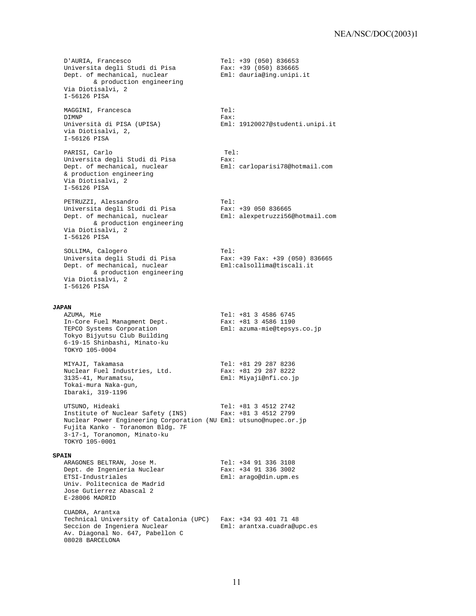D'AURIA, Francesco Tel: +39 (050) 836653 Universita degli Studi di Pisa Fax: +39 (050) 836665 Dept. of mechanical, nuclear Fml: dauria@ing.unipi.it & production engineering Via Diotisalvi, 2 I-56126 PISA MAGGINI, Francesca (Tel: Tel: DIMNP) DIMNP Fax: Università di PISA (UPISA) Eml: 19120027@studenti.unipi.it via Diotisalvi, 2, I-56126 PISA PARISI, Carlo Tel: Universita degli Studi di Pisa Fax: ror<br>Fax:<br>Eml: carloparisi78@hotmail.com & production engineering Via Diotisalvi, 2 I-56126 PISA PETRUZZI, Alessandro de anticola de Tel: Universita degli Studi di Pisa Fax: +39 050 836665 Dept. of mechanical, nuclear Eml: alexpetruzzi56@hotmail.com & production engineering Via Diotisalvi, 2 I-56126 PISA SOLLIMA, Calogero Tel: Universita degli Studi di Pisa Fax: +39 Fax: +39 (050) 836665 Dept. of mechanical, nuclear Eml:calsollima@tiscali.it & production engineering Via Diotisalvi, 2 I-56126 PISA **JAPAN** AZUMA, Mie Tel: +81 3 4586 6745 In-Core Fuel Managment Dept. Fax: +81 3 4586 1190 TEPCO Systems Corporation Eml: azuma-mie@tepsys.co.jp Tokyo Bijyutsu Club Building 6-19-15 Shinbashi, Minato-ku TOKYO 105-0004 MIYAJI, Takamasa Tel: +81 29 287 8236 Nuclear Fuel Industries, Ltd. Fax: +81 29 287 8222 3135-41, Muramatsu, Eml: Miyaji@nfi.co.jp Tokai-mura Naka-gun, Ibaraki, 319-1196 UTSUNO, Hideaki Tel: +81 3 4512 2742 Institute of Nuclear Safety (INS) Fax: +81 3 4512 2799 Nuclear Power Engineering Corporation (NU Eml: utsuno@nupec.or.jp Fujita Kanko - Toranomon Bldg. 7F 3-17-1, Toranomon, Minato-ku TOKYO 105-0001 **SPAIN** ARAGONES BELTRAN, Jose M. Tel: +34 91 336 3108 Dept. de Ingenieria Nuclear Fax: +34 91 336 3002 ETSI-Industriales Eml: arago@din.upm.es Univ. Politecnica de Madrid Jose Gutierrez Abascal 2 E-28006 MADRID CUADRA, Arantxa Technical University of Catalonia (UPC) Fax: +34 93 401 71 48 Seccion de Ingeniera Nuclear **Eml:** arantxa.cuadra@upc.es Av. Diagonal No. 647, Pabellon C 08028 BARCELONA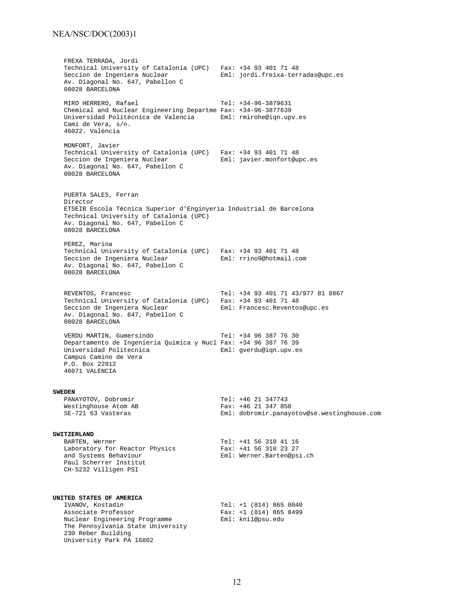### NEA/NSC/DOC(2003)1

FREXA TERRADA, Jordi Technical University of Catalonia (UPC) Fax: +34 93 401 71 48 Eml: jordi.freixa-terradas@upc.es Av. Diagonal No. 647, Pabellon C 08028 BARCELONA MIRO HERRERO, Rafael Tel: +34-96-3879631 Chemical and Nuclear Engineering Departme Fax: +34-96-3877639 Universidad Politécnica de Valencia Eml: rmirohe@iqn.upv.es Camí de Vera, s/n. 46022. València MONFORT, Javier Technical University of Catalonia (UPC) Fax: +34 93 401 71 48 Seccion de Ingeniera Nuclear Eml: javier.monfort@upc.es Av. Diagonal No. 647, Pabellon C 08028 BARCELONA PUERTA SALES, Ferran Director ETSEIB Escola Tècnica Superior d'Enginyeria Industrial de Barcelona Technical University of Catalonia (UPC) Av. Diagonal No. 647, Pabellon C 08028 BARCELONA PEREZ, Marina Technical University of Catalonia (UPC) Fax: +34 93 401 71 48 Seccion de Ingeniera Nuclear (Eml: rrino9@hotmail.com Av. Diagonal No. 647, Pabellon C 08028 BARCELONA REVENTOS, Francesc Tel: +34 93 401 71 43/977 81 8867 Technical University of Catalonia (UPC) Fax: +34 93 401 71 48<br>Seccion de Ingeniera Nuclear Eml: Francesc.Reventos@upc.es Seccion de Ingeniera Nuclear em Eml: Francesc.Reventos@upc.es Av. Diagonal No. 647, Pabellon C 08028 BARCELONA VERDU MARTIN, Gumersindo Tel: +34 96 387 76 30 Departamento de Ingenieria Quimica y Nucl Fax: +34 96 387 76 39 Universidad Politecnica Eml: gverdu@iqn.upv.es Campus Camino de Vera P.O. Box 22012 46071 VALENCIA **SWEDEN** PANAYOTOV, Dobromir Tel: +46 21 347743 Westinghouse Atom AB<br>SE-721 63 Vasteras Eml: dobromir.panayotov@se.westinghouse.com **SWITZERLAND**<br>BARTEN, Werner Tel: +41 56 310 41 16<br>Fax: +41 56 310 23 27 Laboratory for Reactor Physics and Systems Behaviour Eml: Werner.Barten@psi.ch Paul Scherrer Institut CH-5232 Villigen PSI **UNITED STATES OF AMERICA** IVANOV, Kostadin Tel: +1 (814) 865 0040<br>Associate Professor (Fax: +1 (814) 865 8499 Associate Professor **Fax:** +1 (814) 865 8499 Nuclear Engineering Programme Eml: kni1@psu.edu The Pennsylvania State University 230 Reber Building University Park PA 16802